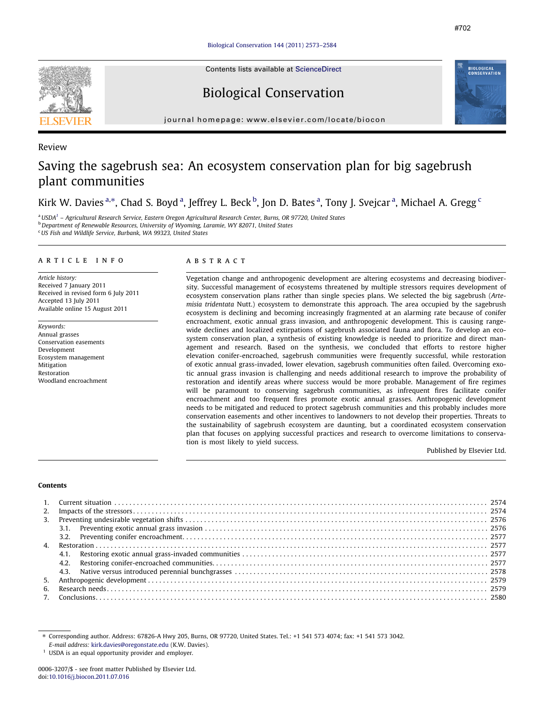

Contents lists available at [ScienceDirect](http://www.sciencedirect.com/science/journal/00063207)

Biological Conservation

journal homepage: [www.elsevier.com/locate/biocon](http://www.elsevier.com/locate/biocon)

# Review

# Saving the sagebrush sea: An ecosystem conservation plan for big sagebrush plant communities

Kirk W. Davies <sup>a,</sup>\*, Chad S. Boyd <sup>a</sup>, Jeffrey L. Beck <sup>b</sup>, Jon D. Bates <sup>a</sup>, Tony J. Svejcar <sup>a</sup>, Michael A. Gregg <sup>c</sup>

<sup>a</sup> USDA<sup>1</sup> – Agricultural Research Service, Eastern Oregon Agricultural Research Center, Burns, OR 97720, United States <sup>b</sup> Department of Renewable Resources, University of Wyoming, Laramie, WY 82071, United States <sup>c</sup>US Fish and Wildlife Service, Burbank, WA 99323, United States

article info

Article history: Received 7 January 2011 Received in revised form 6 July 2011 Accepted 13 July 2011 Available online 15 August 2011

Keywords: Annual grasses Conservation easements Development Ecosystem management Mitigation Restoration Woodland encroachment

#### abstract

Vegetation change and anthropogenic development are altering ecosystems and decreasing biodiversity. Successful management of ecosystems threatened by multiple stressors requires development of ecosystem conservation plans rather than single species plans. We selected the big sagebrush (Artemisia tridentata Nutt.) ecosystem to demonstrate this approach. The area occupied by the sagebrush ecosystem is declining and becoming increasingly fragmented at an alarming rate because of conifer encroachment, exotic annual grass invasion, and anthropogenic development. This is causing rangewide declines and localized extirpations of sagebrush associated fauna and flora. To develop an ecosystem conservation plan, a synthesis of existing knowledge is needed to prioritize and direct management and research. Based on the synthesis, we concluded that efforts to restore higher elevation conifer-encroached, sagebrush communities were frequently successful, while restoration of exotic annual grass-invaded, lower elevation, sagebrush communities often failed. Overcoming exotic annual grass invasion is challenging and needs additional research to improve the probability of restoration and identify areas where success would be more probable. Management of fire regimes will be paramount to conserving sagebrush communities, as infrequent fires facilitate conifer encroachment and too frequent fires promote exotic annual grasses. Anthropogenic development needs to be mitigated and reduced to protect sagebrush communities and this probably includes more conservation easements and other incentives to landowners to not develop their properties. Threats to the sustainability of sagebrush ecosystem are daunting, but a coordinated ecosystem conservation plan that focuses on applying successful practices and research to overcome limitations to conservation is most likely to yield success.

Published by Elsevier Ltd.

#### **Contents**

| 3. |  |
|----|--|
|    |  |
|    |  |
|    |  |
|    |  |
|    |  |
|    |  |
|    |  |
| 6. |  |
|    |  |

**BIOLOGICAL**<br>CONSERVATION

<sup>⇑</sup> Corresponding author. Address: 67826-A Hwy 205, Burns, OR 97720, United States. Tel.: +1 541 573 4074; fax: +1 541 573 3042.

E-mail address: [kirk.davies@oregonstate.edu](mailto:kirk.davies@oregonstate.edu) (K.W. Davies).

 $1$  USDA is an equal opportunity provider and employer.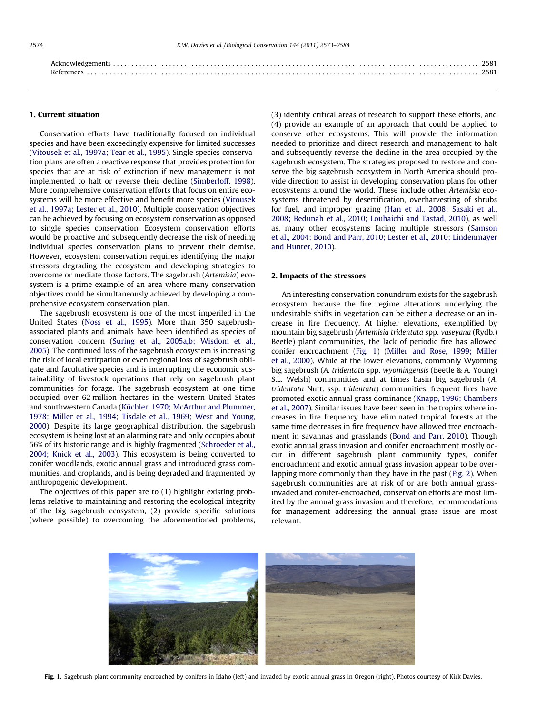Acknowledgements . . . . . . . . . . ........................................................................................ 2581 References . ........................................................................................................ 2581

#### 1. Current situation

Conservation efforts have traditionally focused on individual species and have been exceedingly expensive for limited successes ([Vitousek et al., 1997a; Tear et al., 1995](#page-11-0)). Single species conservation plans are often a reactive response that provides protection for species that are at risk of extinction if new management is not implemented to halt or reverse their decline [\(Simberloff, 1998\)](#page-11-0). More comprehensive conservation efforts that focus on entire ecosystems will be more effective and benefit more species ([Vitousek](#page-11-0) [et al., 1997a; Lester et al., 2010](#page-11-0)). Multiple conservation objectives can be achieved by focusing on ecosystem conservation as opposed to single species conservation. Ecosystem conservation efforts would be proactive and subsequently decrease the risk of needing individual species conservation plans to prevent their demise. However, ecosystem conservation requires identifying the major stressors degrading the ecosystem and developing strategies to overcome or mediate those factors. The sagebrush (Artemisia) ecosystem is a prime example of an area where many conservation objectives could be simultaneously achieved by developing a comprehensive ecosystem conservation plan.

The sagebrush ecosystem is one of the most imperiled in the United States [\(Noss et al., 1995\)](#page-10-0). More than 350 sagebrushassociated plants and animals have been identified as species of conservation concern [\(Suring et al., 2005a,b; Wisdom et al.,](#page-11-0) [2005\)](#page-11-0). The continued loss of the sagebrush ecosystem is increasing the risk of local extirpation or even regional loss of sagebrush obligate and facultative species and is interrupting the economic sustainability of livestock operations that rely on sagebrush plant communities for forage. The sagebrush ecosystem at one time occupied over 62 million hectares in the western United States and southwestern Canada [\(Küchler, 1970; McArthur and Plummer,](#page-10-0) [1978; Miller et al., 1994; Tisdale et al., 1969; West and Young,](#page-10-0) [2000\)](#page-10-0). Despite its large geographical distribution, the sagebrush ecosystem is being lost at an alarming rate and only occupies about 56% of its historic range and is highly fragmented ([Schroeder et al.,](#page-10-0) [2004; Knick et al., 2003](#page-10-0)). This ecosystem is being converted to conifer woodlands, exotic annual grass and introduced grass communities, and croplands, and is being degraded and fragmented by anthropogenic development.

The objectives of this paper are to (1) highlight existing problems relative to maintaining and restoring the ecological integrity of the big sagebrush ecosystem, (2) provide specific solutions (where possible) to overcoming the aforementioned problems, (3) identify critical areas of research to support these efforts, and (4) provide an example of an approach that could be applied to conserve other ecosystems. This will provide the information needed to prioritize and direct research and management to halt and subsequently reverse the decline in the area occupied by the sagebrush ecosystem. The strategies proposed to restore and conserve the big sagebrush ecosystem in North America should provide direction to assist in developing conservation plans for other ecosystems around the world. These include other Artemisia ecosystems threatened by desertification, overharvesting of shrubs for fuel, and improper grazing ([Han et al., 2008; Sasaki et al.,](#page-9-0) [2008; Bedunah et al., 2010; Louhaichi and Tastad, 2010](#page-9-0)), as well as, many other ecosystems facing multiple stressors ([Samson](#page-10-0) [et al., 2004; Bond and Parr, 2010; Lester et al., 2010; Lindenmayer](#page-10-0) [and Hunter, 2010](#page-10-0)).

#### 2. Impacts of the stressors

An interesting conservation conundrum exists for the sagebrush ecosystem, because the fire regime alterations underlying the undesirable shifts in vegetation can be either a decrease or an increase in fire frequency. At higher elevations, exemplified by mountain big sagebrush (Artemisia tridentata spp. vaseyana (Rydb.) Beetle) plant communities, the lack of periodic fire has allowed conifer encroachment (Fig. 1) [\(Miller and Rose, 1999; Miller](#page-10-0) [et al., 2000\)](#page-10-0). While at the lower elevations, commonly Wyoming big sagebrush (A. tridentata spp. wyomingensis (Beetle & A. Young) S.L. Welsh) communities and at times basin big sagebrush (A. tridentata Nutt. ssp. tridentata) communities, frequent fires have promoted exotic annual grass dominance ([Knapp, 1996; Chambers](#page-10-0) [et al., 2007\)](#page-10-0). Similar issues have been seen in the tropics where increases in fire frequency have eliminated tropical forests at the same time decreases in fire frequency have allowed tree encroachment in savannas and grasslands [\(Bond and Parr, 2010](#page-8-0)). Though exotic annual grass invasion and conifer encroachment mostly occur in different sagebrush plant community types, conifer encroachment and exotic annual grass invasion appear to be overlapping more commonly than they have in the past [\(Fig. 2\)](#page-2-0). When sagebrush communities are at risk of or are both annual grassinvaded and conifer-encroached, conservation efforts are most limited by the annual grass invasion and therefore, recommendations for management addressing the annual grass issue are most relevant.



Fig. 1. Sagebrush plant community encroached by conifers in Idaho (left) and invaded by exotic annual grass in Oregon (right). Photos courtesy of Kirk Davies.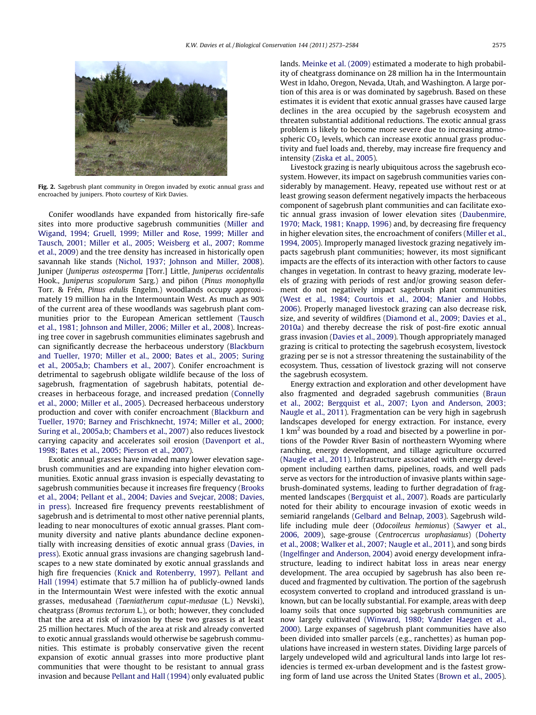<span id="page-2-0"></span>

Fig. 2. Sagebrush plant community in Oregon invaded by exotic annual grass and encroached by junipers. Photo courtesy of Kirk Davies.

Conifer woodlands have expanded from historically fire-safe sites into more productive sagebrush communities [\(Miller and](#page-10-0) [Wigand, 1994; Gruell, 1999; Miller and Rose, 1999; Miller and](#page-10-0) [Tausch, 2001; Miller et al., 2005; Weisberg et al., 2007; Romme](#page-10-0) [et al., 2009\)](#page-10-0) and the tree density has increased in historically open savannah like stands ([Nichol, 1937; Johnson and Miller, 2008\)](#page-10-0). Juniper (Juniperus osteosperma [Torr.] Little, Juniperus occidentalis Hook., Juniperus scopulorum Sarg.) and piñon (Pinus monophylla Torr. & Frén, Pinus edulis Engelm.) woodlands occupy approximately 19 million ha in the Intermountain West. As much as 90% of the current area of these woodlands was sagebrush plant communities prior to the European American settlement [\(Tausch](#page-11-0) [et al., 1981; Johnson and Miller, 2006; Miller et al., 2008](#page-11-0)). Increasing tree cover in sagebrush communities eliminates sagebrush and can significantly decrease the herbaceous understory ([Blackburn](#page-8-0) [and Tueller, 1970; Miller et al., 2000; Bates et al., 2005; Suring](#page-8-0) [et al., 2005a,b; Chambers et al., 2007](#page-8-0)). Conifer encroachment is detrimental to sagebrush obligate wildlife because of the loss of sagebrush, fragmentation of sagebrush habitats, potential decreases in herbaceous forage, and increased predation [\(Connelly](#page-9-0) [et al., 2000; Miller et al., 2005\)](#page-9-0). Decreased herbaceous understory production and cover with conifer encroachment [\(Blackburn and](#page-8-0) [Tueller, 1970; Barney and Frischknecht, 1974; Miller et al., 2000;](#page-8-0) [Suring et al., 2005a,b;](#page-11-0) [Chambers et al., 2007\)](#page-9-0) also reduces livestock carrying capacity and accelerates soil erosion [\(Davenport et al.,](#page-9-0) [1998; Bates et al., 2005; Pierson et al., 2007](#page-9-0)).

Exotic annual grasses have invaded many lower elevation sagebrush communities and are expanding into higher elevation communities. Exotic annual grass invasion is especially devastating to sagebrush communities because it increases fire frequency ([Brooks](#page-8-0) [et al., 2004; Pellant et al., 2004; Davies and Svejcar, 2008; Davies,](#page-8-0) [in press](#page-8-0)). Increased fire frequency prevents reestablishment of sagebrush and is detrimental to most other native perennial plants, leading to near monocultures of exotic annual grasses. Plant community diversity and native plants abundance decline exponentially with increasing densities of exotic annual grass [\(Davies, in](#page-9-0) [press](#page-9-0)). Exotic annual grass invasions are changing sagebrush landscapes to a new state dominated by exotic annual grasslands and high fire frequencies ([Knick and Rotenberry, 1997\)](#page-10-0). [Pellant and](#page-10-0) [Hall \(1994\)](#page-10-0) estimate that 5.7 million ha of publicly-owned lands in the Intermountain West were infested with the exotic annual grasses, medusahead (Taeniatherum caput-medusae (L.) Nevski), cheatgrass (Bromus tectorum L.), or both; however, they concluded that the area at risk of invasion by these two grasses is at least 25 million hectares. Much of the area at risk and already converted to exotic annual grasslands would otherwise be sagebrush communities. This estimate is probably conservative given the recent expansion of exotic annual grasses into more productive plant communities that were thought to be resistant to annual grass invasion and because [Pellant and Hall \(1994\)](#page-10-0) only evaluated public lands. [Meinke et al. \(2009\)](#page-10-0) estimated a moderate to high probability of cheatgrass dominance on 28 million ha in the Intermountain West in Idaho, Oregon, Nevada, Utah, and Washington. A large portion of this area is or was dominated by sagebrush. Based on these estimates it is evident that exotic annual grasses have caused large declines in the area occupied by the sagebrush ecosystem and threaten substantial additional reductions. The exotic annual grass problem is likely to become more severe due to increasing atmospheric  $CO<sub>2</sub>$  levels, which can increase exotic annual grass productivity and fuel loads and, thereby, may increase fire frequency and intensity ([Ziska et al., 2005\)](#page-11-0).

Livestock grazing is nearly ubiquitous across the sagebrush ecosystem. However, its impact on sagebrush communities varies considerably by management. Heavy, repeated use without rest or at least growing season deferment negatively impacts the herbaceous component of sagebrush plant communities and can facilitate exotic annual grass invasion of lower elevation sites [\(Daubenmire,](#page-9-0) [1970; Mack, 1981; Knapp, 1996](#page-9-0)) and, by decreasing fire frequency in higher elevation sites, the encroachment of conifers [\(Miller et al.,](#page-10-0) [1994, 2005\)](#page-10-0). Improperly managed livestock grazing negatively impacts sagebrush plant communities; however, its most significant impacts are the effects of its interaction with other factors to cause changes in vegetation. In contrast to heavy grazing, moderate levels of grazing with periods of rest and/or growing season deferment do not negatively impact sagebrush plant communities ([West et al., 1984; Courtois et al., 2004; Manier and Hobbs,](#page-11-0) [2006](#page-11-0)). Properly managed livestock grazing can also decrease risk, size, and severity of wildfires [\(Diamond et al., 2009; Davies et al.,](#page-9-0) [2010a\)](#page-9-0) and thereby decrease the risk of post-fire exotic annual grass invasion ([Davies et al., 2009](#page-9-0)). Though appropriately managed grazing is critical to protecting the sagebrush ecosystem, livestock grazing per se is not a stressor threatening the sustainability of the ecosystem. Thus, cessation of livestock grazing will not conserve the sagebrush ecosystem.

Energy extraction and exploration and other development have also fragmented and degraded sagebrush communities [\(Braun](#page-8-0) [et al., 2002; Bergquist et al., 2007; Lyon and Anderson, 2003;](#page-8-0) [Naugle et al., 2011\)](#page-8-0). Fragmentation can be very high in sagebrush landscapes developed for energy extraction. For instance, every 1  $km<sup>2</sup>$  was bounded by a road and bisected by a powerline in portions of the Powder River Basin of northeastern Wyoming where ranching, energy development, and tillage agriculture occurred ([Naugle et al., 2011](#page-10-0)). Infrastructure associated with energy development including earthen dams, pipelines, roads, and well pads serve as vectors for the introduction of invasive plants within sagebrush-dominated systems, leading to further degradation of fragmented landscapes [\(Bergquist et al., 2007](#page-8-0)). Roads are particularly noted for their ability to encourage invasion of exotic weeds in semiarid rangelands [\(Gelbard and Belnap, 2003](#page-9-0)). Sagebrush wildlife including mule deer (Odocoileus hemionus) [\(Sawyer et al.,](#page-10-0) [2006, 2009\)](#page-10-0), sage-grouse (Centrocercus urophasianus) [\(Doherty](#page-9-0) [et al., 2008; Walker et al., 2007; Naugle et al., 2011](#page-9-0)), and song birds ([Ingelfinger and Anderson, 2004](#page-9-0)) avoid energy development infrastructure, leading to indirect habitat loss in areas near energy development. The area occupied by sagebrush has also been reduced and fragmented by cultivation. The portion of the sagebrush ecosystem converted to cropland and introduced grassland is unknown, but can be locally substantial. For example, areas with deep loamy soils that once supported big sagebrush communities are now largely cultivated ([Winward, 1980; Vander Haegen et al.,](#page-11-0) [2000](#page-11-0)). Large expanses of sagebrush plant communities have also been divided into smaller parcels (e.g., ranchettes) as human populations have increased in western states. Dividing large parcels of largely undeveloped wild and agricultural lands into large lot residencies is termed ex-urban development and is the fastest growing form of land use across the United States [\(Brown et al., 2005\)](#page-8-0).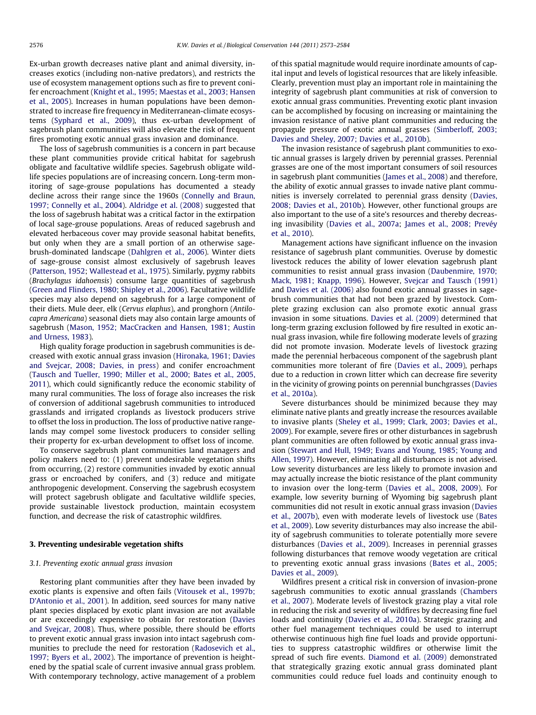Ex-urban growth decreases native plant and animal diversity, increases exotics (including non-native predators), and restricts the use of ecosystem management options such as fire to prevent conifer encroachment [\(Knight et al., 1995; Maestas et al., 2003; Hansen](#page-10-0) [et al., 2005](#page-10-0)). Increases in human populations have been demonstrated to increase fire frequency in Mediterranean-climate ecosystems [\(Syphard et al., 2009\)](#page-11-0), thus ex-urban development of sagebrush plant communities will also elevate the risk of frequent fires promoting exotic annual grass invasion and dominance.

The loss of sagebrush communities is a concern in part because these plant communities provide critical habitat for sagebrush obligate and facultative wildlife species. Sagebrush obligate wildlife species populations are of increasing concern. Long-term monitoring of sage-grouse populations has documented a steady decline across their range since the 1960s [\(Connelly and Braun,](#page-9-0) [1997; Connelly et al., 2004\)](#page-9-0). [Aldridge et al. \(2008\)](#page-8-0) suggested that the loss of sagebrush habitat was a critical factor in the extirpation of local sage-grouse populations. Areas of reduced sagebrush and elevated herbaceous cover may provide seasonal habitat benefits, but only when they are a small portion of an otherwise sagebrush-dominated landscape ([Dahlgren et al., 2006](#page-9-0)). Winter diets of sage-grouse consist almost exclusively of sagebrush leaves ([Patterson, 1952;](#page-10-0) [Wallestead et al., 1975\)](#page-11-0). Similarly, pygmy rabbits (Brachylagus idahoensis) consume large quantities of sagebrush ([Green and Flinders, 1980; Shipley et al., 2006\)](#page-9-0). Facultative wildlife species may also depend on sagebrush for a large component of their diets. Mule deer, elk (Cervus elaphus), and pronghorn (Antilocapra Americana) seasonal diets may also contain large amounts of sagebrush [\(Mason, 1952; MacCracken and Hansen, 1981; Austin](#page-10-0) [and Urness, 1983\)](#page-10-0).

High quality forage production in sagebrush communities is decreased with exotic annual grass invasion ([Hironaka, 1961; Davies](#page-9-0) [and Svejcar, 2008; Davies, in press](#page-9-0)) and conifer encroachment ([Tausch and Tueller, 1990; Miller et al., 2000; Bates et al., 2005,](#page-11-0) [2011\)](#page-11-0), which could significantly reduce the economic stability of many rural communities. The loss of forage also increases the risk of conversion of additional sagebrush communities to introduced grasslands and irrigated croplands as livestock producers strive to offset the loss in production. The loss of productive native rangelands may compel some livestock producers to consider selling their property for ex-urban development to offset loss of income.

To conserve sagebrush plant communities land managers and policy makers need to: (1) prevent undesirable vegetation shifts from occurring, (2) restore communities invaded by exotic annual grass or encroached by conifers, and (3) reduce and mitigate anthropogenic development. Conserving the sagebrush ecosystem will protect sagebrush obligate and facultative wildlife species, provide sustainable livestock production, maintain ecosystem function, and decrease the risk of catastrophic wildfires.

#### 3. Preventing undesirable vegetation shifts

#### 3.1. Preventing exotic annual grass invasion

Restoring plant communities after they have been invaded by exotic plants is expensive and often fails ([Vitousek et al., 1997b;](#page-11-0) [D'Antonio et al., 2001](#page-11-0)). In addition, seed sources for many native plant species displaced by exotic plant invasion are not available or are exceedingly expensive to obtain for restoration ([Davies](#page-9-0) [and Svejcar, 2008\)](#page-9-0). Thus, where possible, there should be efforts to prevent exotic annual grass invasion into intact sagebrush communities to preclude the need for restoration ([Radosevich et al.,](#page-10-0) [1997; Byers et al., 2002](#page-10-0)). The importance of prevention is heightened by the spatial scale of current invasive annual grass problem. With contemporary technology, active management of a problem of this spatial magnitude would require inordinate amounts of capital input and levels of logistical resources that are likely infeasible. Clearly, prevention must play an important role in maintaining the integrity of sagebrush plant communities at risk of conversion to exotic annual grass communities. Preventing exotic plant invasion can be accomplished by focusing on increasing or maintaining the invasion resistance of native plant communities and reducing the propagule pressure of exotic annual grasses [\(Simberloff, 2003;](#page-11-0) [Davies and Sheley, 2007; Davies et al., 2010b](#page-11-0)).

The invasion resistance of sagebrush plant communities to exotic annual grasses is largely driven by perennial grasses. Perennial grasses are one of the most important consumers of soil resources in sagebrush plant communities ([James et al., 2008\)](#page-9-0) and therefore, the ability of exotic annual grasses to invade native plant communities is inversely correlated to perennial grass density ([Davies,](#page-9-0) [2008; Davies et al., 2010b](#page-9-0)). However, other functional groups are also important to the use of a site's resources and thereby decreasing invasibility [\(Davies et al., 2007a;](#page-9-0) [James et al., 2008; Prevéy](#page-9-0) [et al., 2010\)](#page-9-0).

Management actions have significant influence on the invasion resistance of sagebrush plant communities. Overuse by domestic livestock reduces the ability of lower elevation sagebrush plant communities to resist annual grass invasion [\(Daubenmire, 1970;](#page-9-0) [Mack, 1981; Knapp, 1996\)](#page-9-0). However, [Svejcar and Tausch \(1991\)](#page-11-0) and [Davies et al. \(2006\)](#page-9-0) also found exotic annual grasses in sagebrush communities that had not been grazed by livestock. Complete grazing exclusion can also promote exotic annual grass invasion in some situations. [Davies et al. \(2009\)](#page-9-0) determined that long-term grazing exclusion followed by fire resulted in exotic annual grass invasion, while fire following moderate levels of grazing did not promote invasion. Moderate levels of livestock grazing made the perennial herbaceous component of the sagebrush plant communities more tolerant of fire ([Davies et al., 2009](#page-9-0)), perhaps due to a reduction in crown litter which can decrease fire severity in the vicinity of growing points on perennial bunchgrasses ([Davies](#page-9-0) [et al., 2010a](#page-9-0)).

Severe disturbances should be minimized because they may eliminate native plants and greatly increase the resources available to invasive plants [\(Sheley et al., 1999; Clark, 2003; Davies et al.,](#page-11-0) [2009\)](#page-11-0). For example, severe fires or other disturbances in sagebrush plant communities are often followed by exotic annual grass invasion [\(Stewart and Hull, 1949; Evans and Young, 1985; Young and](#page-11-0) [Allen, 1997\)](#page-11-0). However, eliminating all disturbances is not advised. Low severity disturbances are less likely to promote invasion and may actually increase the biotic resistance of the plant community to invasion over the long-term [\(Davies et al., 2008, 2009](#page-9-0)). For example, low severity burning of Wyoming big sagebrush plant communities did not result in exotic annual grass invasion ([Davies](#page-9-0) [et al., 2007b](#page-9-0)), even with moderate levels of livestock use ([Bates](#page-8-0) [et al., 2009](#page-8-0)). Low severity disturbances may also increase the ability of sagebrush communities to tolerate potentially more severe disturbances [\(Davies et al., 2009\)](#page-9-0). Increases in perennial grasses following disturbances that remove woody vegetation are critical to preventing exotic annual grass invasions ([Bates et al., 2005;](#page-8-0) [Davies et al., 2009](#page-8-0)).

Wildfires present a critical risk in conversion of invasion-prone sagebrush communities to exotic annual grasslands [\(Chambers](#page-9-0) [et al., 2007](#page-9-0)). Moderate levels of livestock grazing play a vital role in reducing the risk and severity of wildfires by decreasing fine fuel loads and continuity [\(Davies et al., 2010a](#page-9-0)). Strategic grazing and other fuel management techniques could be used to interrupt otherwise continuous high fine fuel loads and provide opportunities to suppress catastrophic wildfires or otherwise limit the spread of such fire events. [Diamond et al. \(2009\)](#page-9-0) demonstrated that strategically grazing exotic annual grass dominated plant communities could reduce fuel loads and continuity enough to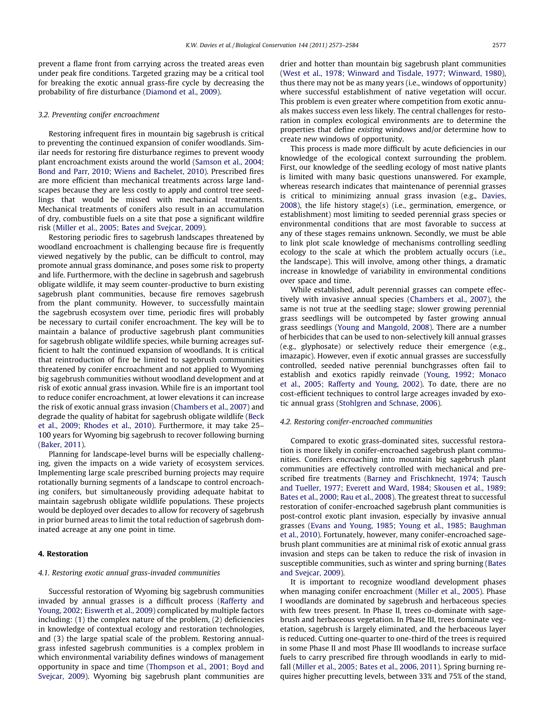prevent a flame front from carrying across the treated areas even under peak fire conditions. Targeted grazing may be a critical tool for breaking the exotic annual grass-fire cycle by decreasing the probability of fire disturbance [\(Diamond et al., 2009](#page-9-0)).

#### 3.2. Preventing conifer encroachment

Restoring infrequent fires in mountain big sagebrush is critical to preventing the continued expansion of conifer woodlands. Similar needs for restoring fire disturbance regimes to prevent woody plant encroachment exists around the world [\(Samson et al., 2004;](#page-10-0) [Bond and Parr, 2010; Wiens and Bachelet, 2010\)](#page-10-0). Prescribed fires are more efficient than mechanical treatments across large landscapes because they are less costly to apply and control tree seedlings that would be missed with mechanical treatments. Mechanical treatments of conifers also result in an accumulation of dry, combustible fuels on a site that pose a significant wildfire risk [\(Miller et al., 2005; Bates and Svejcar, 2009\)](#page-10-0).

Restoring periodic fires to sagebrush landscapes threatened by woodland encroachment is challenging because fire is frequently viewed negatively by the public, can be difficult to control, may promote annual grass dominance, and poses some risk to property and life. Furthermore, with the decline in sagebrush and sagebrush obligate wildlife, it may seem counter-productive to burn existing sagebrush plant communities, because fire removes sagebrush from the plant community. However, to successfully maintain the sagebrush ecosystem over time, periodic fires will probably be necessary to curtail conifer encroachment. The key will be to maintain a balance of productive sagebrush plant communities for sagebrush obligate wildlife species, while burning acreages sufficient to halt the continued expansion of woodlands. It is critical that reintroduction of fire be limited to sagebrush communities threatened by conifer encroachment and not applied to Wyoming big sagebrush communities without woodland development and at risk of exotic annual grass invasion. While fire is an important tool to reduce conifer encroachment, at lower elevations it can increase the risk of exotic annual grass invasion ([Chambers et al., 2007](#page-9-0)) and degrade the quality of habitat for sagebrush obligate wildlife ([Beck](#page-8-0) [et al., 2009; Rhodes et al., 2010](#page-8-0)). Furthermore, it may take 25– 100 years for Wyoming big sagebrush to recover following burning ([Baker, 2011](#page-8-0)).

Planning for landscape-level burns will be especially challenging, given the impacts on a wide variety of ecosystem services. Implementing large scale prescribed burning projects may require rotationally burning segments of a landscape to control encroaching conifers, but simultaneously providing adequate habitat to maintain sagebrush obligate wildlife populations. These projects would be deployed over decades to allow for recovery of sagebrush in prior burned areas to limit the total reduction of sagebrush dominated acreage at any one point in time.

#### 4. Restoration

#### 4.1. Restoring exotic annual grass-invaded communities

Successful restoration of Wyoming big sagebrush communities invaded by annual grasses is a difficult process ([Rafferty and](#page-10-0) [Young, 2002; Eiswerth et al., 2009\)](#page-10-0) complicated by multiple factors including: (1) the complex nature of the problem, (2) deficiencies in knowledge of contextual ecology and restoration technologies, and (3) the large spatial scale of the problem. Restoring annualgrass infested sagebrush communities is a complex problem in which environmental variability defines windows of management opportunity in space and time ([Thompson et al., 2001; Boyd and](#page-11-0) [Svejcar, 2009\)](#page-11-0). Wyoming big sagebrush plant communities are drier and hotter than mountain big sagebrush plant communities ([West et al., 1978; Winward and Tisdale, 1977; Winward, 1980\)](#page-11-0), thus there may not be as many years (i.e., windows of opportunity) where successful establishment of native vegetation will occur. This problem is even greater where competition from exotic annuals makes success even less likely. The central challenges for restoration in complex ecological environments are to determine the properties that define existing windows and/or determine how to create new windows of opportunity.

This process is made more difficult by acute deficiencies in our knowledge of the ecological context surrounding the problem. First, our knowledge of the seedling ecology of most native plants is limited with many basic questions unanswered. For example, whereas research indicates that maintenance of perennial grasses is critical to minimizing annual grass invasion (e.g., [Davies,](#page-9-0) [2008](#page-9-0)), the life history stage(s) (i.e., germination, emergence, or establishment) most limiting to seeded perennial grass species or environmental conditions that are most favorable to success at any of these stages remains unknown. Secondly, we must be able to link plot scale knowledge of mechanisms controlling seedling ecology to the scale at which the problem actually occurs (i.e., the landscape). This will involve, among other things, a dramatic increase in knowledge of variability in environmental conditions over space and time.

While established, adult perennial grasses can compete effectively with invasive annual species ([Chambers et al., 2007\)](#page-9-0), the same is not true at the seedling stage; slower growing perennial grass seedlings will be outcompeted by faster growing annual grass seedlings [\(Young and Mangold, 2008](#page-11-0)). There are a number of herbicides that can be used to non-selectively kill annual grasses (e.g., glyphosate) or selectively reduce their emergence (e.g., imazapic). However, even if exotic annual grasses are successfully controlled, seeded native perennial bunchgrasses often fail to establish and exotics rapidly reinvade [\(Young, 1992; Monaco](#page-11-0) [et al., 2005; Rafferty and Young, 2002\)](#page-11-0). To date, there are no cost-efficient techniques to control large acreages invaded by exotic annual grass [\(Stohlgren and Schnase, 2006](#page-11-0)).

#### 4.2. Restoring conifer-encroached communities

Compared to exotic grass-dominated sites, successful restoration is more likely in conifer-encroached sagebrush plant communities. Conifers encroaching into mountain big sagebrush plant communities are effectively controlled with mechanical and prescribed fire treatments [\(Barney and Frischknecht, 1974; Tausch](#page-8-0) [and Tueller, 1977; Everett and Ward, 1984; Skousen et al., 1989;](#page-8-0) [Bates et al., 2000; Rau et al., 2008](#page-8-0)). The greatest threat to successful restoration of conifer-encroached sagebrush plant communities is post-control exotic plant invasion, especially by invasive annual grasses [\(Evans and Young, 1985; Young et al., 1985; Baughman](#page-9-0) [et al., 2010\)](#page-9-0). Fortunately, however, many conifer-encroached sagebrush plant communities are at minimal risk of exotic annual grass invasion and steps can be taken to reduce the risk of invasion in susceptible communities, such as winter and spring burning [\(Bates](#page-8-0) [and Svejcar, 2009](#page-8-0)).

It is important to recognize woodland development phases when managing conifer encroachment ([Miller et al., 2005](#page-10-0)). Phase I woodlands are dominated by sagebrush and herbaceous species with few trees present. In Phase II, trees co-dominate with sagebrush and herbaceous vegetation. In Phase III, trees dominate vegetation, sagebrush is largely eliminated, and the herbaceous layer is reduced. Cutting one-quarter to one-third of the trees is required in some Phase II and most Phase III woodlands to increase surface fuels to carry prescribed fire through woodlands in early to midfall ([Miller et al., 2005; Bates et al., 2006, 2011](#page-10-0)). Spring burning requires higher precutting levels, between 33% and 75% of the stand,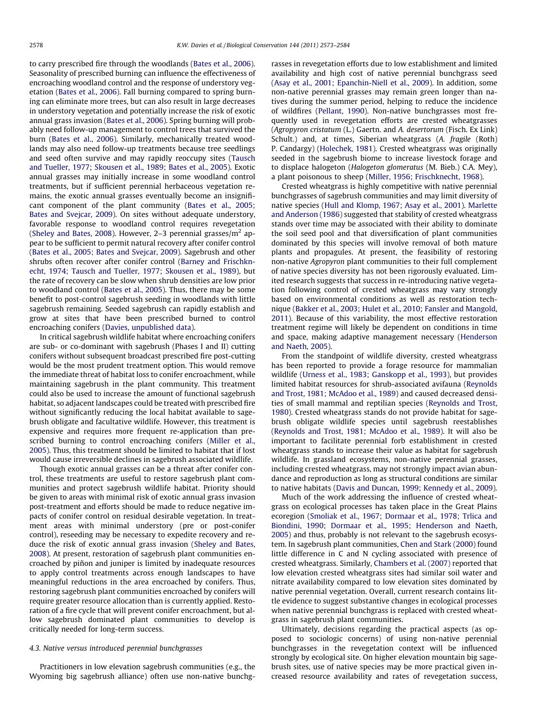to carry prescribed fire through the woodlands ([Bates et al., 2006\)](#page-8-0). Seasonality of prescribed burning can influence the effectiveness of encroaching woodland control and the response of understory vegetation [\(Bates et al., 2006\)](#page-8-0). Fall burning compared to spring burning can eliminate more trees, but can also result in large decreases in understory vegetation and potentially increase the risk of exotic annual grass invasion ([Bates et al., 2006\)](#page-8-0). Spring burning will probably need follow-up management to control trees that survived the burn ([Bates et al., 2006](#page-8-0)). Similarly, mechanically treated woodlands may also need follow-up treatments because tree seedlings and seed often survive and may rapidly reoccupy sites [\(Tausch](#page-11-0) [and Tueller, 1977;](#page-11-0) [Skousen et al., 1989; Bates et al., 2005\)](#page-11-0). Exotic annual grasses may initially increase in some woodland control treatments, but if sufficient perennial herbaceous vegetation remains, the exotic annual grasses eventually become an insignificant component of the plant community [\(Bates et al., 2005;](#page-8-0) [Bates and Svejcar, 2009](#page-8-0)). On sites without adequate understory, favorable response to woodland control requires revegetation ([Sheley and Bates, 2008](#page-11-0)). However, 2–3 perennial grasses/ $m^2$  appear to be sufficient to permit natural recovery after conifer control ([Bates et al., 2005; Bates and Svejcar, 2009](#page-8-0)). Sagebrush and other shrubs often recover after conifer control [\(Barney and Frischkn](#page-8-0)[echt, 1974; Tausch and Tueller, 1977; Skousen et al., 1989\)](#page-8-0), but the rate of recovery can be slow when shrub densities are low prior to woodland control ([Bates et al., 2005](#page-8-0)). Thus, there may be some benefit to post-control sagebrush seeding in woodlands with little sagebrush remaining. Seeded sagebrush can rapidly establish and grow at sites that have been prescribed burned to control encroaching conifers ([Davies, unpublished data](#page-9-0)).

In critical sagebrush wildlife habitat where encroaching conifers are sub- or co-dominant with sagebrush (Phases I and II) cutting conifers without subsequent broadcast prescribed fire post-cutting would be the most prudent treatment option. This would remove the immediate threat of habitat loss to conifer encroachment, while maintaining sagebrush in the plant community. This treatment could also be used to increase the amount of functional sagebrush habitat, so adjacent landscapes could be treated with prescribed fire without significantly reducing the local habitat available to sagebrush obligate and facultative wildlife. However, this treatment is expensive and requires more frequent re-application than prescribed burning to control encroaching conifers [\(Miller et al.,](#page-10-0) [2005\)](#page-10-0). Thus, this treatment should be limited to habitat that if lost would cause irreversible declines in sagebrush associated wildlife.

Though exotic annual grasses can be a threat after conifer control, these treatments are useful to restore sagebrush plant communities and protect sagebrush wildlife habitat. Priority should be given to areas with minimal risk of exotic annual grass invasion post-treatment and efforts should be made to reduce negative impacts of conifer control on residual desirable vegetation. In treatment areas with minimal understory (pre or post-conifer control), reseeding may be necessary to expedite recovery and reduce the risk of exotic annual grass invasion ([Sheley and Bates,](#page-11-0) [2008\)](#page-11-0). At present, restoration of sagebrush plant communities encroached by piñon and juniper is limited by inadequate resources to apply control treatments across enough landscapes to have meaningful reductions in the area encroached by conifers. Thus, restoring sagebrush plant communities encroached by conifers will require greater resource allocation than is currently applied. Restoration of a fire cycle that will prevent conifer encroachment, but allow sagebrush dominated plant communities to develop is critically needed for long-term success.

## 4.3. Native versus introduced perennial bunchgrasses

Practitioners in low elevation sagebrush communities (e.g., the Wyoming big sagebrush alliance) often use non-native bunchgrasses in revegetation efforts due to low establishment and limited availability and high cost of native perennial bunchgrass seed ([Asay et al., 2001; Epanchin-Niell et al., 2009](#page-8-0)). In addition, some non-native perennial grasses may remain green longer than natives during the summer period, helping to reduce the incidence of wildfires ([Pellant, 1990](#page-10-0)). Non-native bunchgrasses most frequently used in revegetation efforts are crested wheatgrasses (Agropyron cristatum (L.) Gaertn. and A. desertorum (Fisch. Ex Link) Schult.) and, at times, Siberian wheatgrass (A. fragile (Roth) P. Candargy) ([Holechek, 1981](#page-9-0)). Crested wheatgrass was originally seeded in the sagebrush biome to increase livestock forage and to displace halogeton (Halogeton glomeratus (M. Bieb.) C.A. Mey), a plant poisonous to sheep ([Miller, 1956; Frischknecht, 1968](#page-10-0)).

Crested wheatgrass is highly competitive with native perennial bunchgrasses of sagebrush communities and may limit diversity of native species ([Hull and Klomp, 1967; Asay et al., 2001\)](#page-9-0). [Marlette](#page-10-0) [and Anderson \(1986\)](#page-10-0) suggested that stability of crested wheatgrass stands over time may be associated with their ability to dominate the soil seed pool and that diversification of plant communities dominated by this species will involve removal of both mature plants and propagules. At present, the feasibility of restoring non-native Agropyron plant communities to their full complement of native species diversity has not been rigorously evaluated. Limited research suggests that success in re-introducing native vegetation following control of crested wheatgrass may vary strongly based on environmental conditions as well as restoration technique [\(Bakker et al., 2003; Hulet et al., 2010; Fansler and Mangold,](#page-8-0) [2011\)](#page-8-0). Because of this variability, the most effective restoration treatment regime will likely be dependent on conditions in time and space, making adaptive management necessary ([Henderson](#page-9-0) [and Naeth, 2005](#page-9-0)).

From the standpoint of wildlife diversity, crested wheatgrass has been reported to provide a forage resource for mammalian wildlife [\(Urness et al., 1983; Ganskopp et al., 1993\)](#page-11-0), but provides limited habitat resources for shrub-associated avifauna [\(Reynolds](#page-10-0) [and Trost, 1981; McAdoo et al., 1989\)](#page-10-0) and caused decreased densities of small mammal and reptilian species ([Reynolds and Trost,](#page-10-0) [1980\)](#page-10-0). Crested wheatgrass stands do not provide habitat for sagebrush obligate wildlife species until sagebrush reestablishes ([Reynolds and Trost, 1981; McAdoo et al., 1989](#page-10-0)). It will also be important to facilitate perennial forb establishment in crested wheatgrass stands to increase their value as habitat for sagebrush wildlife. In grassland ecosystems, non-native perennial grasses, including crested wheatgrass, may not strongly impact avian abundance and reproduction as long as structural conditions are similar to native habitats ([Davis and Duncan, 1999; Kennedy et al., 2009\)](#page-9-0).

Much of the work addressing the influence of crested wheatgrass on ecological processes has taken place in the Great Plains ecoregion ([Smoliak et al., 1967; Dormaar et al., 1978; Trlica and](#page-11-0) [Biondini, 1990; Dormaar et al., 1995; Henderson and Naeth,](#page-11-0) [2005\)](#page-11-0) and thus, probably is not relevant to the sagebrush ecosystem. In sagebrush plant communities, [Chen and Stark \(2000\)](#page-9-0) found little difference in C and N cycling associated with presence of crested wheatgrass. Similarly, [Chambers et al. \(2007\)](#page-9-0) reported that low elevation crested wheatgrass sites had similar soil water and nitrate availability compared to low elevation sites dominated by native perennial vegetation. Overall, current research contains little evidence to suggest substantive changes in ecological processes when native perennial bunchgrass is replaced with crested wheatgrass in sagebrush plant communities.

Ultimately, decisions regarding the practical aspects (as opposed to sociologic concerns) of using non-native perennial bunchgrasses in the revegetation context will be influenced strongly by ecological site. On higher elevation mountain big sagebrush sites, use of native species may be more practical given increased resource availability and rates of revegetation success,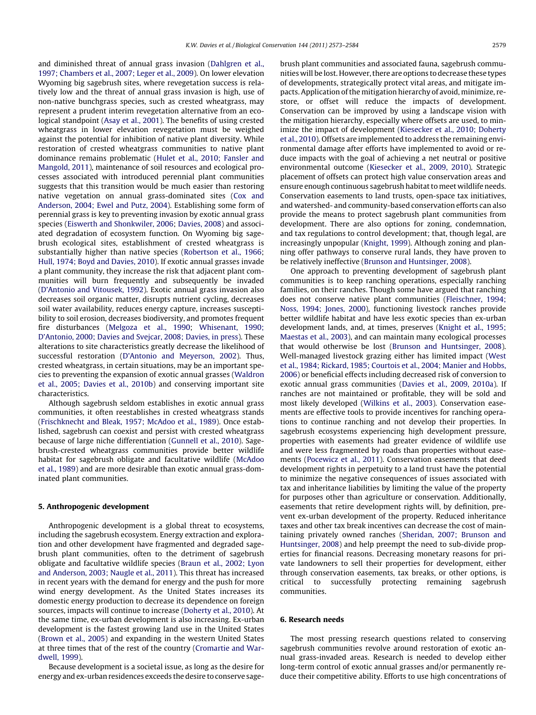and diminished threat of annual grass invasion [\(Dahlgren et al.,](#page-9-0) [1997; Chambers et al., 2007; Leger et al., 2009](#page-9-0)). On lower elevation Wyoming big sagebrush sites, where revegetation success is relatively low and the threat of annual grass invasion is high, use of non-native bunchgrass species, such as crested wheatgrass, may represent a prudent interim revegetation alternative from an ecological standpoint ([Asay et al., 2001\)](#page-8-0). The benefits of using crested wheatgrass in lower elevation revegetation must be weighed against the potential for inhibition of native plant diversity. While restoration of crested wheatgrass communities to native plant dominance remains problematic [\(Hulet et al., 2010; Fansler and](#page-9-0) [Mangold, 2011\)](#page-9-0), maintenance of soil resources and ecological processes associated with introduced perennial plant communities suggests that this transition would be much easier than restoring native vegetation on annual grass-dominated sites ([Cox and](#page-9-0) [Anderson, 2004; Ewel and Putz, 2004](#page-9-0)). Establishing some form of perennial grass is key to preventing invasion by exotic annual grass species ([Eiswerth and Shonkwiler, 2006;](#page-9-0) [Davies, 2008](#page-9-0)) and associated degradation of ecosystem function. On Wyoming big sagebrush ecological sites, establishment of crested wheatgrass is substantially higher than native species [\(Robertson et al., 1966;](#page-10-0) [Hull, 1974; Boyd and Davies, 2010\)](#page-9-0). If exotic annual grasses invade a plant community, they increase the risk that adjacent plant communities will burn frequently and subsequently be invaded ([D'Antonio and Vitousek, 1992\)](#page-9-0). Exotic annual grass invasion also decreases soil organic matter, disrupts nutrient cycling, decreases soil water availability, reduces energy capture, increases susceptibility to soil erosion, decreases biodiversity, and promotes frequent fire disturbances ([Melgoza et al., 1990](#page-10-0); [Whisenant, 1990;](#page-11-0) [D'Antonio, 2000; Davies and Svejcar, 2008; Davies, in press\)](#page-11-0). These alterations to site characteristics greatly decrease the likelihood of successful restoration [\(D'Antonio and Meyerson, 2002\)](#page-9-0). Thus, crested wheatgrass, in certain situations, may be an important species to preventing the expansion of exotic annual grasses ([Waldron](#page-11-0) [et al., 2005; Davies et al., 2010b\)](#page-11-0) and conserving important site characteristics.

Although sagebrush seldom establishes in exotic annual grass communities, it often reestablishes in crested wheatgrass stands ([Frischknecht and Bleak, 1957; McAdoo et al., 1989](#page-9-0)). Once established, sagebrush can coexist and persist with crested wheatgrass because of large niche differentiation [\(Gunnell et al., 2010](#page-9-0)). Sagebrush-crested wheatgrass communities provide better wildlife habitat for sagebrush obligate and facultative wildlife ([McAdoo](#page-10-0) [et al., 1989\)](#page-10-0) and are more desirable than exotic annual grass-dominated plant communities.

#### 5. Anthropogenic development

Anthropogenic development is a global threat to ecosystems, including the sagebrush ecosystem. Energy extraction and exploration and other development have fragmented and degraded sagebrush plant communities, often to the detriment of sagebrush obligate and facultative wildlife species ([Braun et al., 2002; Lyon](#page-8-0) [and Anderson, 2003; Naugle et al., 2011\)](#page-8-0). This threat has increased in recent years with the demand for energy and the push for more wind energy development. As the United States increases its domestic energy production to decrease its dependence on foreign sources, impacts will continue to increase [\(Doherty et al., 2010](#page-9-0)). At the same time, ex-urban development is also increasing. Ex-urban development is the fastest growing land use in the United States ([Brown et al., 2005\)](#page-8-0) and expanding in the western United States at three times that of the rest of the country [\(Cromartie and War](#page-9-0)[dwell, 1999](#page-9-0)).

Because development is a societal issue, as long as the desire for energy and ex-urban residences exceeds the desire to conserve sagebrush plant communities and associated fauna, sagebrush communities will be lost. However, there are options to decrease these types of developments, strategically protect vital areas, and mitigate impacts. Application of the mitigation hierarchy of avoid, minimize, restore, or offset will reduce the impacts of development. Conservation can be improved by using a landscape vision with the mitigation hierarchy, especially where offsets are used, to minimize the impact of development ([Kiesecker et al., 2010; Doherty](#page-10-0) [et al., 2010](#page-10-0)). Offsets are implemented to address the remaining environmental damage after efforts have implemented to avoid or reduce impacts with the goal of achieving a net neutral or positive environmental outcome [\(Kiesecker et al., 2009, 2010\)](#page-9-0). Strategic placement of offsets can protect high value conservation areas and ensure enough continuous sagebrush habitat to meet wildlife needs. Conservation easements to land trusts, open-space tax initiatives, and watershed- and community-based conservation efforts can also provide the means to protect sagebrush plant communities from development. There are also options for zoning, condemnation, and tax regulations to control development; that, though legal, are increasingly unpopular ([Knight, 1999](#page-10-0)). Although zoning and planning offer pathways to conserve rural lands, they have proven to be relatively ineffective ([Brunson and Huntsinger, 2008](#page-8-0)).

One approach to preventing development of sagebrush plant communities is to keep ranching operations, especially ranching families, on their ranches. Though some have argued that ranching does not conserve native plant communities [\(Fleischner, 1994;](#page-9-0) [Noss, 1994; Jones, 2000](#page-9-0)), functioning livestock ranches provide better wildlife habitat and have less exotic species than ex-urban development lands, and, at times, preserves ([Knight et al., 1995;](#page-10-0) [Maestas et al., 2003\)](#page-10-0), and can maintain many ecological processes that would otherwise be lost [\(Brunson and Huntsinger, 2008\)](#page-8-0). Well-managed livestock grazing either has limited impact [\(West](#page-11-0) [et al., 1984; Rickard, 1985; Courtois et al., 2004; Manier and Hobbs,](#page-11-0) [2006](#page-11-0)) or beneficial effects including decreased risk of conversion to exotic annual grass communities ([Davies et al., 2009, 2010a\)](#page-9-0). If ranches are not maintained or profitable, they will be sold and most likely developed [\(Wilkins et al., 2003](#page-11-0)). Conservation easements are effective tools to provide incentives for ranching operations to continue ranching and not develop their properties. In sagebrush ecosystems experiencing high development pressure, properties with easements had greater evidence of wildlife use and were less fragmented by roads than properties without easements [\(Pocewicz et al., 2011](#page-10-0)). Conservation easements that deed development rights in perpetuity to a land trust have the potential to minimize the negative consequences of issues associated with tax and inheritance liabilities by limiting the value of the property for purposes other than agriculture or conservation. Additionally, easements that retire development rights will, by definition, prevent ex-urban development of the property. Reduced inheritance taxes and other tax break incentives can decrease the cost of maintaining privately owned ranches [\(Sheridan, 2007; Brunson and](#page-11-0) [Huntsinger, 2008](#page-11-0)) and help preempt the need to sub-divide properties for financial reasons. Decreasing monetary reasons for private landowners to sell their properties for development, either through conservation easements, tax breaks, or other options, is critical to successfully protecting remaining sagebrush communities.

#### 6. Research needs

The most pressing research questions related to conserving sagebrush communities revolve around restoration of exotic annual grass-invaded areas. Research is needed to develop either long-term control of exotic annual grasses and/or permanently reduce their competitive ability. Efforts to use high concentrations of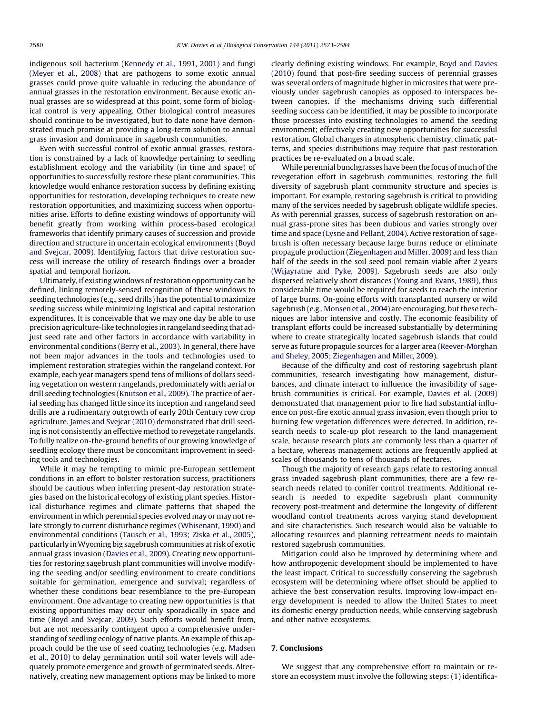indigenous soil bacterium [\(Kennedy et al., 1991, 2001](#page-9-0)) and fungi ([Meyer et al., 2008](#page-10-0)) that are pathogens to some exotic annual grasses could prove quite valuable in reducing the abundance of annual grasses in the restoration environment. Because exotic annual grasses are so widespread at this point, some form of biological control is very appealing. Other biological control measures should continue to be investigated, but to date none have demonstrated much promise at providing a long-term solution to annual grass invasion and dominance in sagebrush communities.

Even with successful control of exotic annual grasses, restoration is constrained by a lack of knowledge pertaining to seedling establishment ecology and the variability (in time and space) of opportunities to successfully restore these plant communities. This knowledge would enhance restoration success by defining existing opportunities for restoration, developing techniques to create new restoration opportunities, and maximizing success when opportunities arise. Efforts to define existing windows of opportunity will benefit greatly from working within process-based ecological frameworks that identify primary causes of succession and provide direction and structure in uncertain ecological environments ([Boyd](#page-8-0) [and Svejcar, 2009\)](#page-8-0). Identifying factors that drive restoration success will increase the utility of research findings over a broader spatial and temporal horizon.

Ultimately, if existing windows of restoration opportunity can be defined, linking remotely-sensed recognition of these windows to seeding technologies (e.g., seed drills) has the potential to maximize seeding success while minimizing logistical and capital restoration expenditures. It is conceivable that we may one day be able to use precision agriculture-like technologies in rangeland seeding that adjust seed rate and other factors in accordance with variability in environmental conditions [\(Berry et al., 2003\)](#page-8-0). In general, there have not been major advances in the tools and technologies used to implement restoration strategies within the rangeland context. For example, each year managers spend tens of millions of dollars seeding vegetation on western rangelands, predominately with aerial or drill seeding technologies ([Knutson et al., 2009\)](#page-10-0). The practice of aerial seeding has changed little since its inception and rangeland seed drills are a rudimentary outgrowth of early 20th Century row crop agriculture. [James and Svejcar \(2010\)](#page-9-0) demonstrated that drill seeding is not consistently an effective method to revegetate rangelands. To fully realize on-the-ground benefits of our growing knowledge of seedling ecology there must be concomitant improvement in seeding tools and technologies.

While it may be tempting to mimic pre-European settlement conditions in an effort to bolster restoration success, practitioners should be cautious when inferring present-day restoration strategies based on the historical ecology of existing plant species. Historical disturbance regimes and climate patterns that shaped the environment in which perennial species evolved may or may not relate strongly to current disturbance regimes [\(Whisenant, 1990\)](#page-11-0) and environmental conditions [\(Tausch et al., 1993; Ziska et al., 2005\)](#page-11-0), particularly inWyoming big sagebrush communities at risk of exotic annual grass invasion ([Davies et al., 2009\)](#page-9-0). Creating new opportunities for restoring sagebrush plant communities will involve modifying the seeding and/or seedling environment to create conditions suitable for germination, emergence and survival; regardless of whether these conditions bear resemblance to the pre-European environment. One advantage to creating new opportunities is that existing opportunities may occur only sporadically in space and time ([Boyd and Svejcar, 2009](#page-8-0)). Such efforts would benefit from, but are not necessarily contingent upon a comprehensive understanding of seedling ecology of native plants. An example of this approach could be the use of seed coating technologies (e.g. [Madsen](#page-10-0) [et al., 2010](#page-10-0)) to delay germination until soil water levels will adequately promote emergence and growth of germinated seeds. Alternatively, creating new management options may be linked to more

clearly defining existing windows. For example, [Boyd and Davies](#page-8-0) [\(2010\)](#page-8-0) found that post-fire seeding success of perennial grasses was several orders of magnitude higher in microsites that were previously under sagebrush canopies as opposed to interspaces between canopies. If the mechanisms driving such differential seeding success can be identified, it may be possible to incorporate those processes into existing technologies to amend the seeding environment; effectively creating new opportunities for successful restoration. Global changes in atmospheric chemistry, climatic patterns, and species distributions may require that past restoration practices be re-evaluated on a broad scale.

While perennial bunchgrasses have been the focus of much of the revegetation effort in sagebrush communities, restoring the full diversity of sagebrush plant community structure and species is important. For example, restoring sagebrush is critical to providing many of the services needed by sagebrush obligate wildlife species. As with perennial grasses, success of sagebrush restoration on annual grass-prone sites has been dubious and varies strongly over time and space ([Lysne and Pellant, 2004](#page-10-0)). Active restoration of sagebrush is often necessary because large burns reduce or eliminate propagule production [\(Ziegenhagen and Miller, 2009\)](#page-11-0) and less than half of the seeds in the soil seed pool remain viable after 2 years ([Wijayratne and Pyke, 2009\)](#page-11-0). Sagebrush seeds are also only dispersed relatively short distances ([Young and Evans, 1989\)](#page-11-0), thus considerable time would be required for seeds to reach the interior of large burns. On-going efforts with transplanted nursery or wild sagebrush (e.g., [Monsen et al., 2004\)](#page-10-0) are encouraging, but these techniques are labor intensive and costly. The economic feasibility of transplant efforts could be increased substantially by determining where to create strategically located sagebrush islands that could serve as future propagule sources for a larger area ([Reever-Morghan](#page-10-0) [and Sheley, 2005; Ziegenhagen and Miller, 2009\)](#page-10-0).

Because of the difficulty and cost of restoring sagebrush plant communities, research investigating how management, disturbances, and climate interact to influence the invasibility of sagebrush communities is critical. For example, [Davies et al. \(2009\)](#page-9-0) demonstrated that management prior to fire had substantial influence on post-fire exotic annual grass invasion, even though prior to burning few vegetation differences were detected. In addition, research needs to scale-up plot research to the land management scale, because research plots are commonly less than a quarter of a hectare, whereas management actions are frequently applied at scales of thousands to tens of thousands of hectares.

Though the majority of research gaps relate to restoring annual grass invaded sagebrush plant communities, there are a few research needs related to conifer control treatments. Additional research is needed to expedite sagebrush plant community recovery post-treatment and determine the longevity of different woodland control treatments across varying stand development and site characteristics. Such research would also be valuable to allocating resources and planning retreatment needs to maintain restored sagebrush communities.

Mitigation could also be improved by determining where and how anthropogenic development should be implemented to have the least impact. Critical to successfully conserving the sagebrush ecosystem will be determining where offset should be applied to achieve the best conservation results. Improving low-impact energy development is needed to allow the United States to meet its domestic energy production needs, while conserving sagebrush and other native ecosystems.

## 7. Conclusions

We suggest that any comprehensive effort to maintain or restore an ecosystem must involve the following steps: (1) identifica-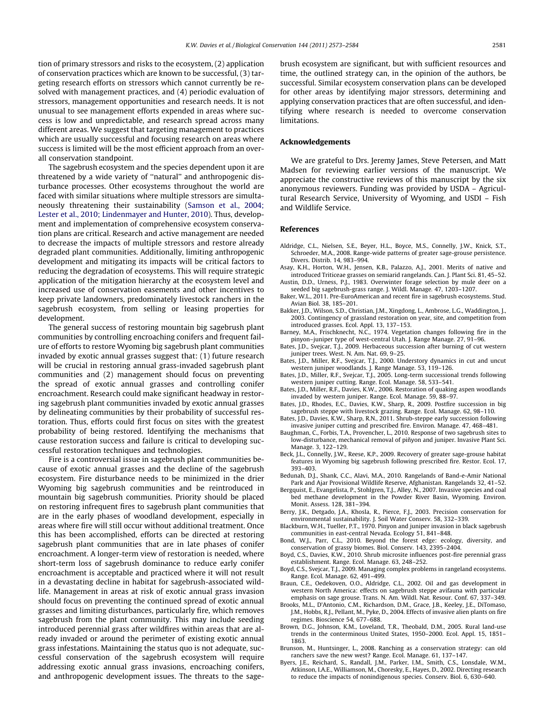<span id="page-8-0"></span>tion of primary stressors and risks to the ecosystem, (2) application of conservation practices which are known to be successful, (3) targeting research efforts on stressors which cannot currently be resolved with management practices, and (4) periodic evaluation of stressors, management opportunities and research needs. It is not unusual to see management efforts expended in areas where success is low and unpredictable, and research spread across many different areas. We suggest that targeting management to practices which are usually successful and focusing research on areas where success is limited will be the most efficient approach from an overall conservation standpoint.

The sagebrush ecosystem and the species dependent upon it are threatened by a wide variety of ''natural'' and anthropogenic disturbance processes. Other ecosystems throughout the world are faced with similar situations where multiple stressors are simultaneously threatening their sustainability ([Samson et al., 2004;](#page-10-0) [Lester et al., 2010; Lindenmayer and Hunter, 2010](#page-10-0)). Thus, development and implementation of comprehensive ecosystem conservation plans are critical. Research and active management are needed to decrease the impacts of multiple stressors and restore already degraded plant communities. Additionally, limiting anthropogenic development and mitigating its impacts will be critical factors to reducing the degradation of ecosystems. This will require strategic application of the mitigation hierarchy at the ecosystem level and increased use of conservation easements and other incentives to keep private landowners, predominately livestock ranchers in the sagebrush ecosystem, from selling or leasing properties for development.

The general success of restoring mountain big sagebrush plant communities by controlling encroaching conifers and frequent failure of efforts to restore Wyoming big sagebrush plant communities invaded by exotic annual grasses suggest that: (1) future research will be crucial in restoring annual grass-invaded sagebrush plant communities and (2) management should focus on preventing the spread of exotic annual grasses and controlling conifer encroachment. Research could make significant headway in restoring sagebrush plant communities invaded by exotic annual grasses by delineating communities by their probability of successful restoration. Thus, efforts could first focus on sites with the greatest probability of being restored. Identifying the mechanisms that cause restoration success and failure is critical to developing successful restoration techniques and technologies.

Fire is a controversial issue in sagebrush plant communities because of exotic annual grasses and the decline of the sagebrush ecosystem. Fire disturbance needs to be minimized in the drier Wyoming big sagebrush communities and be reintroduced in mountain big sagebrush communities. Priority should be placed on restoring infrequent fires to sagebrush plant communities that are in the early phases of woodland development, especially in areas where fire will still occur without additional treatment. Once this has been accomplished, efforts can be directed at restoring sagebrush plant communities that are in late phases of conifer encroachment. A longer-term view of restoration is needed, where short-term loss of sagebrush dominance to reduce early conifer encroachment is acceptable and practiced where it will not result in a devastating decline in habitat for sagebrush-associated wildlife. Management in areas at risk of exotic annual grass invasion should focus on preventing the continued spread of exotic annual grasses and limiting disturbances, particularly fire, which removes sagebrush from the plant community. This may include seeding introduced perennial grass after wildfires within areas that are already invaded or around the perimeter of existing exotic annual grass infestations. Maintaining the status quo is not adequate, successful conservation of the sagebrush ecosystem will require addressing exotic annual grass invasions, encroaching conifers, and anthropogenic development issues. The threats to the sagebrush ecosystem are significant, but with sufficient resources and time, the outlined strategy can, in the opinion of the authors, be successful. Similar ecosystem conservation plans can be developed for other areas by identifying major stressors, determining and applying conservation practices that are often successful, and identifying where research is needed to overcome conservation limitations.

#### Acknowledgements

We are grateful to Drs. Jeremy James, Steve Petersen, and Matt Madsen for reviewing earlier versions of the manuscript. We appreciate the constructive reviews of this manuscript by the six anonymous reviewers. Funding was provided by USDA – Agricultural Research Service, University of Wyoming, and USDI – Fish and Wildlife Service.

#### References

- Aldridge, C.L., Nielsen, S.E., Beyer, H.L., Boyce, M.S., Connelly, J.W., Knick, S.T., Schroeder, M.A., 2008. Range-wide patterns of greater sage-grouse persistence. Divers. Distrib. 14, 983–994.
- Asay, K.H., Horton, W.H., Jensen, K.B., Palazzo, A.J., 2001. Merits of native and introduced Triticeae grasses on semiarid rangelands. Can. J. Plant Sci. 81, 45–52.
- Austin, D.D., Urness, P.J., 1983. Overwinter forage selection by mule deer on a seeded big sagebrush-grass range. J. Wildl. Manage. 47, 1203–1207.
- Baker, W.L., 2011. Pre-EuroAmerican and recent fire in sagebrush ecosystems. Stud. Avian Biol. 38, 185–201.
- Bakker, J.D., Wilson, S.D., Christian, J.M., Xingdong, L., Ambrose, L.G., Waddington, J., 2003. Contingency of grassland restoration on year, site, and competition from introduced grasses. Ecol. Appl. 13, 137–153.
- Barney, M.A., Frischknecht, N.C., 1974. Vegetation changes following fire in the pinyon–juniper type of west-central Utah. J. Range Manage. 27, 91–96.
- Bates, J.D., Svejcar, T.J., 2009. Herbaceous succession after burning of cut western juniper trees. West. N. Am. Nat. 69, 9–25.
- Bates, J.D., Miller, R.F., Svejcar, T.J., 2000. Understory dynamics in cut and uncut western juniper woodlands. J. Range Manage. 53, 119–126.
- Bates, J.D., Miller, R.F., Svejcar, T.J., 2005. Long-term successional trends following western juniper cutting. Range. Ecol. Manage. 58, 533–541.
- Bates, J.D., Miller, R.F., Davies, K.W., 2006. Restoration of quaking aspen woodlands invaded by western juniper. Range. Ecol. Manage. 59, 88–97.
- Bates, J.D., Rhodes, E.C., Davies, K.W., Sharp, R., 2009. Postfire succession in big sagebrush steppe with livestock grazing. Range. Ecol. Manage. 62, 98–110.
- Bates, J.D., Davies, K.W., Sharp, R.N., 2011. Shrub-steppe early succession following invasive juniper cutting and prescribed fire. Environ. Manage. 47, 468–481.
- Baughman, C., Forbis, T.A., Provencher, L., 2010. Response of two sagebrush sites to low-disturbance, mechanical removal of piñyon and juniper. Invasive Plant Sci. Manage. 3, 122–129.
- Beck, J.L., Connelly, J.W., Reese, K.P., 2009. Recovery of greater sage-grouse habitat features in Wyoming big sagebrush following prescribed fire. Restor. Ecol. 17, 393–403.
- Bedunah, D.J., Shank, C.C., Alavi, M.A., 2010. Rangelands of Band-e-Amir National Park and Ajar Provisional Wildlife Reserve, Afghanistan. Rangelands 32, 41–52.
- Bergquist, E., Evangelista, P., Stohlgren, T.J., Alley, N., 2007. Invasive species and coal bed methane development in the Powder River Basin, Wyoming. Environ. Monit. Assess. 128, 381–394.
- Berry, J.K., Detgado, J.A., Khosla, R., Pierce, F.J., 2003. Precision conservation for environmental sustainability. J. Soil Water Conserv. 58, 332–339.
- Blackburn, W.H., Tueller, P.T., 1970. Pinyon and juniper invasion in black sagebrush communities in east-central Nevada. Ecology 51, 841–848.
- Bond, W.J., Parr, C.L., 2010. Beyond the forest edge: ecology, diversity, and conservation of grassy biomes. Biol. Conserv. 143, 2395–2404.
- Boyd, C.S., Davies, K.W., 2010. Shrub microsite influences post-fire perennial grass establishment. Range. Ecol. Manage. 63, 248–252.
- Boyd, C.S., Svejcar, T.J., 2009. Managing complex problems in rangeland ecosystems. Range. Ecol. Manage. 62, 491–499.
- Braun, C.E., Oedekoven, O.O., Aldridge, C.L., 2002. Oil and gas development in western North America: effects on sagebrush steppe avifauna with particular emphasis on sage grouse. Trans. N. Am. Wildl. Nat. Resour. Conf. 67, 337–349.
- Brooks, M.L., D'Antonio, C.M., Richardson, D.M., Grace, J.B., Keeley, J.E., DiTomaso, J.M., Hobbs, R.J., Pellant, M., Pyke, D., 2004. Effects of invasive alien plants on fire regimes. Bioscience 54, 677–688.
- Brown, D.G., Johnson, K.M., Loveland, T.R., Theobald, D.M., 2005. Rural land-use trends in the conterminous United States, 1950–2000. Ecol. Appl. 15, 1851– 1863.
- Brunson, M., Huntsinger, L., 2008. Ranching as a conservation strategy: can old ranchers save the new west? Range. Ecol. Manage. 61, 137–147.
- Byers, J.E., Reichard, S., Randall, J.M., Parker, I.M., Smith, C.S., Lonsdale, W.M., Atkinson, I.A.E., Williamson, M., Choresky, E., Hayes, D., 2002. Directing research to reduce the impacts of nonindigenous species. Conserv. Biol. 6, 630–640.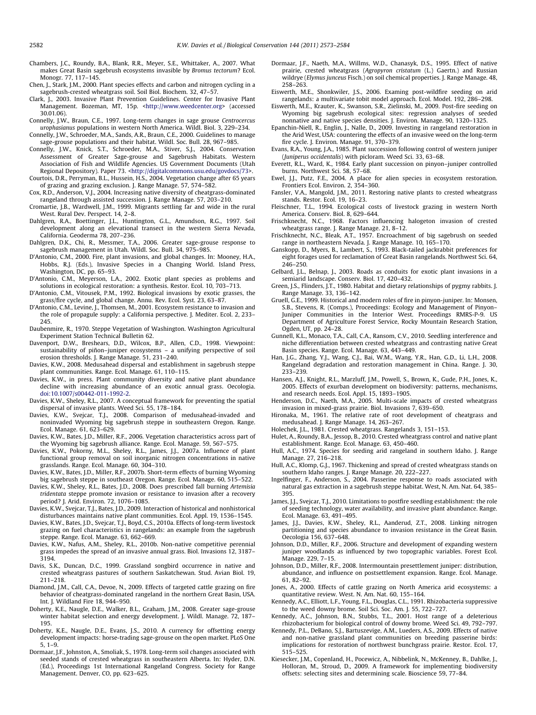- <span id="page-9-0"></span>Chambers, J.C., Roundy, B.A., Blank, R.R., Meyer, S.E., Whittaker, A., 2007. What makes Great Basin sagebrush ecosystems invasible by Bromus tectorum? Ecol. Monogr. 77, 117–145.
- Chen, J., Stark, J.M., 2000. Plant species effects and carbon and nitrogen cycling in a sagebrush-crested wheatgrass soil. Soil Biol. Biochem. 32, 47–57.
- Clark, J., 2003. Invasive Plant Prevention Guidelines. Center for Invasive Plant Management. Bozeman, MT, 15p. <[http://www.weedcenter.org>](http://www.weedcenter.org) (accessed 30.01.06).
- Connelly, J.W., Braun, C.E., 1997. Long-term changes in sage grouse Centrocercus urophasianus populations in western North America. Wildl. Biol. 3, 229–234.
- Connelly, J.W., Schroeder, M.A., Sands, A.R., Braun, C.E., 2000. Guidelines to manage sage-grouse populations and their habitat. Wildl. Soc. Bull. 28, 967–985.
- Connelly, J.W., Knick, S.T., Schroeder, M.A., Stiver, S.J., 2004. Conservation Assessment of Greater Sage-grouse and Sagebrush Habitats. Western Association of Fish and Wildlife Agencies. US Government Documents (Utah Regional Depository). Paper 73. <<http://digitalcommons.usu.edu/govdocs/73>>.
- Courtois, D.R., Perryman, B.L., Hussein, H.S., 2004. Vegetation change after 65 years of grazing and grazing exclusion. J. Range Manage. 57, 574–582.
- Cox, R.D., Anderson, V.J., 2004. Increasing native diversity of cheatgrass-dominated rangeland through assisted succession. J. Range Manage. 57, 203–210.
- Cromartie, J.B., Wardwell, J.M., 1999. Migrants settling far and wide in the rural West. Rural Dev. Perspect. 14, 2–8.
- Dahlgren, R.A., Boettinger, J.L., Huntington, G.L., Amundson, R.G., 1997. Soil development along an elevational transect in the western Sierra Nevada, California. Geoderma 78, 207–236.
- Dahlgren, D.K., Chi, R., Messmer, T.A., 2006. Greater sage-grouse response to sagebrush management in Utah. Wildl. Soc. Bull. 34, 975–985.
- D'Antonio, C.M., 2000. Fire, plant invasions, and global changes. In: Mooney, H.A., Hobbs, R.J. (Eds.), Invasive Species in a Changing World. Island Press, Washington, DC, pp. 65–93.
- D'Antonio, C.M., Meyerson, L.A., 2002. Exotic plant species as problems and solutions in ecological restoration: a synthesis. Restor. Ecol. 10, 703–713.
- D'Antonio, C.M., Vitousek, P.M., 1992. Biological invasions by exotic grasses, the grass/fire cycle, and global change. Annu. Rev. Ecol. Syst. 23, 63–87.
- D'Antonio, C.M., Levine, J., Thomsen, M., 2001. Ecosystem resistance to invasion and the role of propagule supply: a California perspective. J. Mediter. Ecol. 2, 233– 245.
- Daubenmire, R., 1970. Steppe Vegetation of Washington. Washington Agricultural Experiment Station Technical Bulletin 62.
- Davenport, D.W., Breshears, D.D., Wilcox, B.P., Allen, C.D., 1998. Viewpoint: sustainability of piñon–juniper ecosystems – a unifying perspective of soil erosion thresholds. J. Range Manage. 51, 231–240.
- Davies, K.W., 2008. Medusahead dispersal and establishment in sagebrush steppe plant communities. Range. Ecol. Manage. 61, 110–115.
- Davies, K.W., in press. Plant community diversity and native plant abundance decline with increasing abundance of an exotic annual grass. Oecologia. [doi:10.1007/s00442-011-1992-2](http://dx.doi.org/10.1007/s00442-011-1992-2).
- Davies, K.W., Sheley, R.L., 2007. A conceptual framework for preventing the spatial dispersal of invasive plants. Weed Sci. 55, 178–184.
- Davies, K.W., Svejcar, T.J., 2008. Comparison of medusahead-invaded and noninvaded Wyoming big sagebrush steppe in southeastern Oregon. Range. Ecol. Manage. 61, 623–629.
- Davies, K.W., Bates, J.D., Miller, R.F., 2006. Vegetation characteristics across part of the Wyoming big sagebrush alliance. Range. Ecol. Manage. 59, 567–575.
- Davies, K.W., Pokorny, M.L., Sheley, R.L., James, J.J., 2007a. Influence of plant functional group removal on soil inorganic nitrogen concentrations in native grasslands. Range. Ecol. Manage. 60, 304–310.
- Davies, K.W., Bates, J.D., Miller, R.F., 2007b. Short-term effects of burning Wyoming big sagebrush steppe in southeast Oregon. Range. Ecol. Manage. 60, 515–522.
- Davies, K.W., Sheley, R.L., Bates, J.D., 2008. Does prescribed fall burning Artemisia tridentata steppe promote invasion or resistance to invasion after a recovery period? J. Arid. Environ. 72, 1076–1085.
- Davies, K.W., Svejcar, T.J., Bates, J.D., 2009. Interaction of historical and nonhistorical disturbances maintains native plant communities. Ecol. Appl. 19, 1536–1545.
- Davies, K.W., Bates, J.D., Svejcar, T.J., Boyd, C.S., 2010a. Effects of long-term livestock grazing on fuel characteristics in rangelands: an example from the sagebrush steppe. Range. Ecol. Manage. 63, 662–669.
- Davies, K.W., Nafus, A.M., Sheley, R.L., 2010b. Non-native competitive perennial grass impedes the spread of an invasive annual grass. Biol. Invasions 12, 3187– 3194.
- Davis, S.K., Duncan, D.C., 1999. Grassland songbird occurrence in native and crested wheatgrass pastures of southern Saskatchewan. Stud. Avian Biol. 19, 211–218.
- Diamond, J.M., Call, C.A., Devoe, N., 2009. Effects of targeted cattle grazing on fire behavior of cheatgrass-dominated rangeland in the northern Great Basin, USA. Int. J. Wildland Fire 18, 944–950.
- Doherty, K.E., Naugle, D.E., Walker, B.L., Graham, J.M., 2008. Greater sage-grouse winter habitat selection and energy development. J. Wildl. Manage. 72, 187– 195.
- Doherty, K.E., Naugle, D.E., Evans, J.S., 2010. A currency for offsetting energy development impacts: horse-trading sage-grouse on the open market. PLoS One 5, 1–9.
- Dormaar, J.F., Johnston, A., Smoliak, S., 1978. Long-term soil changes associated with seeded stands of crested wheatgrass in southeastern Alberta. In: Hyder, D.N. (Ed.), Proceedings 1st International Rangeland Congress. Society for Range Management. Denver, CO, pp. 623–625.
- Dormaar, J.F., Naeth, M.A., Willms, W.D., Chanasyk, D.S., 1995. Effect of native prairie, crested wheatgrass (Agropyron cristatum (L.) Gaertn.) and Russian wildrye (Elymus junceus Fisch.) on soil chemical properties. J. Range Manage. 48, 258–263.
- Eiswerth, M.E., Shonkwiler, J.S., 2006. Examing post-wildfire seeding on arid rangelands: a multivariate tobit model approach. Ecol. Model. 192, 286–298.
- Eiswerth, M.E., Krauter, K., Swanson, S.R., Zielinski, M., 2009. Post-fire seeding on Wyoming big sagebrush ecological sites: regression analyses of seeded nonnative and native species densities. J. Environ. Manage. 90, 1320–1325.
- Epanchin-Niell, R., Englin, J., Nalle, D., 2009. Investing in rangeland restoration in the Arid West, USA: countering the effects of an invasive weed on the long-term fire cycle. J. Environ. Manage. 91, 370–379.
- Evans, R.A., Young, J.A., 1985. Plant succession following control of western juniper (Juniperus occidentalis) with picloram. Weed Sci. 33, 63–68.
- Everett, R.L., Ward, K., 1984. Early plant succession on pinyon–juniper controlled burns. Northwest Sci. 58, 57–68.
- Ewel, J.J., Putz, F.E., 2004. A place for alien species in ecosystem restoration. Frontiers Ecol. Environ. 2, 354–360.
- Fansler, V.A., Mangold, J.M., 2011. Restoring native plants to crested wheatgrass stands. Restor. Ecol. 19, 16–23.
- Fleischner, T.L., 1994. Ecological costs of livestock grazing in western North America. Conserv. Biol. 8, 629–644.
- Frischknecht, N.C., 1968. Factors influencing halogeton invasion of crested wheatgrass range. J. Range Manage. 21, 8–12.
- Frischknecht, N.C., Bleak, A.T., 1957. Encroachment of big sagebrush on seeded range in northeastern Nevada. J. Range Manage. 10, 165–170.
- Ganskopp, D., Myers, B., Lambert, S., 1993. Black-tailed jackrabbit preferences for eight forages used for reclamation of Great Basin rangelands. Northwest Sci. 64, 246–250.
- Gelbard, J.L., Belnap, J., 2003. Roads as conduits for exotic plant invasions in a semiarid landscape. Conserv. Biol. 17, 420–432.
- Green, J.S., Flinders, J.T., 1980. Habitat and dietary relationships of pygmy rabbits. J. Range Manage. 33, 136–142.
- Gruell, G.E., 1999. Historical and modern roles of fire in pinyon-juniper. In: Monsen, S.B., Stevens, R. (Comps.), Proceedings: Ecology and Management of Pinyon– Juniper Communities in the Interior West. Proceedings RMRS-P-9. US Department of Agriculture Forest Service, Rocky Mountain Research Station, Ogden, UT, pp. 24–28.
- Gunnell, K.L., Monaco, T.A., Call, C.A., Ransom, C.V., 2010. Seedling interference and niche differentiation between crested wheatgrass and contrasting native Great Basin species. Range. Ecol. Manage. 63, 443–449.
- Han, J.G., Zhang, Y.J., Wang, C.J., Bai, W.M., Wang, Y.R., Han, G.D., Li, L.H., 2008. Rangeland degradation and restoration management in China. Range. J. 30, 233–239.
- Hansen, A.J., Knight, R.L., Marzluff, J.M., Powell, S., Brown, K., Gude, P.H., Jones, K., 2005. Effects of exurban development on biodiversity: patterns, mechanisms, and research needs. Ecol. Appl. 15, 1893–1905.
- Henderson, D.C., Naeth, M.A., 2005. Multi-scale impacts of crested wheatgrass invasion in mixed-grass prairie. Biol. Invasions 7, 639–650.
- Hironaka, M., 1961. The relative rate of root development of cheatgrass and medusahead. J. Range Manage. 14, 263–267.
- Holechek, J.L., 1981. Crested wheatgrass. Rangelands 3, 151–153.
- Hulet, A., Roundy, B.A., Jessop, B., 2010. Crested wheatgrass control and native plant establishment. Range. Ecol. Manage. 63, 450–460.
- Hull, A.C., 1974. Species for seeding arid rangeland in southern Idaho. J. Range Manage. 27, 216–218.
- Hull, A.C., Klomp, G.J., 1967. Thickening and spread of crested wheatgrass stands on southern Idaho ranges. J. Range Manage. 20, 222–227.
- Ingelfinger, F., Anderson, S., 2004. Passerine response to roads associated with natural gas extraction in a sagebrush steppe habitat. West, N. Am. Nat. 64, 385– 395.
- James, J.J., Svejcar, T.J., 2010. Limitations to postfire seedling establishment: the role of seeding technology, water availability, and invasive plant abundance. Range. Ecol. Manage. 63, 491–495.
- James, J.J., Davies, K.W., Sheley, R.L., Aanderud, Z.T., 2008. Linking nitrogen partitioning and species abundance to invasion resistance in the Great Basin. Oecologia 156, 637–648.
- Johnson, D.D., Miller, R.F., 2006. Structure and development of expanding western juniper woodlands as influenced by two topographic variables. Forest Ecol. Manage. 229, 7–15.
- Johnson, D.D., Miller, R.F., 2008. Intermountain presettlement juniper: distribution, abundance, and influence on postsettlement expansion. Range. Ecol. Manage. 61, 82–92.
- Jones, A., 2000. Effects of cattle grazing on North America arid ecosystems: a quantitative review. West. N. Am. Nat. 60, 155–164.
- Kennedy, A.C., Elliott, L.F., Young, F.L., Douglas, C.L., 1991. Rhizobacteria suppressive to the weed downy brome. Soil Sci. Soc. Am. J. 55, 722–727.
- Kennedy, A.C., Johnson, B.N., Stubbs, T.L., 2001. Host range of a deleterious rhizobacterium for biological control of downy brome. Weed Sci. 49, 792–797.
- Kennedy, P.L., DeBano, S.J., Bartuszevige, A.M., Lueders, A.S., 2009. Effects of native and non-native grassland plant communities on breeding passerine birds: implications for restoration of northwest bunchgrass prairie. Restor. Ecol. 17, 515–525.
- Kiesecker, J.M., Copenland, H., Pocewicz, A., Nibbelink, N., McKenney, B., Dahlke, J., Holloran, M., Stroud, D., 2009. A framework for implementing biodiversity offsets: selecting sites and determining scale. Bioscience 59, 77–84.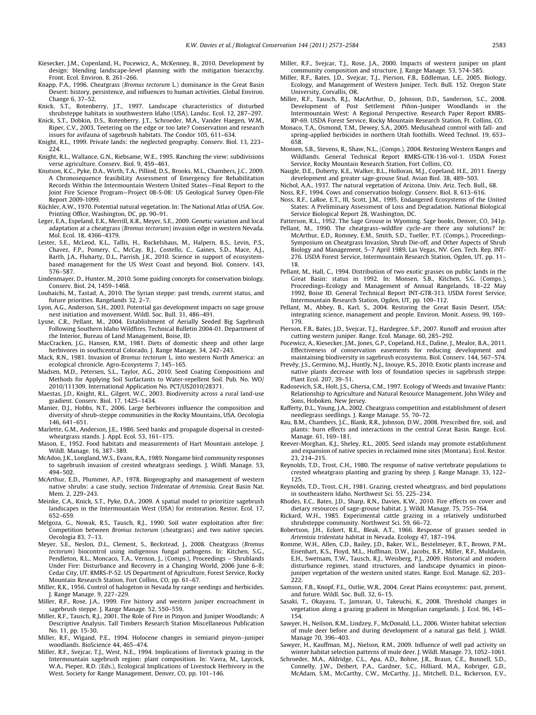- <span id="page-10-0"></span>Kiesecker, J.M., Copenland, H., Pocewicz, A., McKenney, B., 2010. Development by design: blending landscape-level planning with the mitigation hieracrchy. Front. Ecol. Environ. 8, 261–266.
- Knapp, P.A., 1996. Cheatgrass (Bromus tectorum L.) dominance in the Great Basin Desert: history, persistence, and influences to human activities. Global Environ. Change 6, 37–52.
- Knick, S.T., Rotenberry, J.T., 1997. Landscape characteristics of disturbed shrubsteppe habitats in southwestern Idaho (USA). Landsc. Ecol. 12, 287–297.
- Knick, S.T., Dobkin, D.S., Rotenberry, J.T., Schroeder, M.A., Vander Haegen, W.M., Riper, C.V., 2003. Teetering on the edge or too late? Conservation and research issues for avifauna of sagebrush habitats. The Condor 105, 611–634.
- Knight, R.L., 1999. Private lands: the neglected geography. Conserv. Biol. 13, 223– 224.
- Knight, R.L., Wallance, G.N., Riebsame, W.E., 1995. Ranching the view: subdivisions verse agriculture. Conserv. Biol. 9, 459–461.
- Knutson, K.C., Pyke, D.A., Wirth, T.A., Pilliod, D.S., Brooks, M.L., Chambers, J.C., 2009. A Chronosequence feasibiLity Assessment of Emergency fire Rehabilitation Records Within the Intermountain Western United States—Final Report to the Joint Fire Science Program—Project 08-S-08: US Geological Survey Open-File Report 2009-1099.
- Küchler, A.W., 1970. Potential natural vegetation. In: The National Atlas of USA. Gov. Printing Office, Washington, DC, pp. 90–91.
- Leger, E.A., Espeland, E.K., Merrill, K.R., Meyer, S.E., 2009. Genetic variation and local adaptation at a cheatgrass (Bromus tectorum) invasion edge in western Nevada. Mol. Ecol. 18, 4366–4379.
- Lester, S.E., McLeod, K.L., Tallis, H., Ruckelshaus, M., Halpern, B.S., Levin, P.S., Chavez, F.P., Pomery, C., McCay, B.J., Costello, C., Gaines, S.D., Mace, A.J., Barth, J.A., Fluharty, D.L., Parrish, J.K., 2010. Science in support of ecosystembased management for the US West Coast and beyond. Biol. Conserv. 143, 576–587.
- Lindenmayer, D., Hunter, M., 2010. Some guiding concepts for conservation biology. Conserv. Biol. 24, 1459–1468.
- Louhaichi, M., Tastad, A., 2010. The Syrian steppe: past trends, current status, and future priorities. Rangelands 32, 2–7.
- Lyon, A.G., Anderson, S.H., 2003. Potential gas development impacts on sage grouse nest initiation and movement. Wildl. Soc. Bull. 31, 486–491.
- Lysne, C.R., Pellant, M., 2004. Establishment of Aerially Seeded Big Sagebrush Following Southern Idaho Wildfires. Technical Bulletin 2004-01. Department of the Interior, Bureau of Land Management, Boise, ID.
- MacCracken, J.G., Hansen, R.M., 1981. Diets of domestic sheep and other large herbivores in southcentral Colorado. J. Range Manage. 34, 242–243.
- Mack, R.N., 1981. Invasion of Bromus tectorum L. into western North America: an ecological chronicle. Agro-Ecosystems 7, 145–165.
- Madsen, M.D., Petersen, S.L., Taylor, A.G., 2010. Seed Coating Compositions and Methods for Applying Soil Surfactants to Water-repellent Soil. Pub. No. WO/ 2010/111309. International Application No. PCT/US2010/28371.
- Maestas, J.D., Knight, R.L., Gilgert, W.C., 2003. Biodiversity across a rural land-use gradient. Conserv. Biol. 17, 1425–1434.
- Manier, D.J., Hobbs, N.T., 2006. Large herbivores influence the composition and diversity of shrub-steppe communities in the Rocky Mountains, USA. Oecologia 146, 641–651.
- Marlette, G.M., Anderson, J.E., 1986. Seed banks and propagule dispersal in crestedwheatgrass stands. J. Appl. Ecol. 53, 161–175.
- Mason, E., 1952. Food habitats and measurements of Hart Mountain antelope. J. Wildl. Manage. 16, 387–389.
- McAdoo, J.K., Longland, W.S., Evans, R.A., 1989. Nongame bird community responses to sagebrush invasion of crested wheatgrass seedings. J. Wildl. Manage. 53, 494–502.
- McArthur, E.D., Plummer, A.P., 1978. Biogeography and management of western native shrubs: a case study, section Tridentatae of Artemisia. Great Basin Nat. Mem. 2, 229–243.
- Meinke, C.A., Knick, S.T., Pyke, D.A., 2009. A spatial model to prioritize sagebrush landscapes in the Intermountain West (USA) for restoration. Restor. Ecol. 17, 652–659.
- Melgoza, G., Nowak, R.S., Tausch, R.J., 1990. Soil water exploitation after fire: Competition between Bromus tectorum (cheatgrass) and two native species. Oecologia 83, 7–13.
- Meyer, S.E., Neslon, D.L., Clement, S., Beckstead, J., 2008. Cheatgrass (Bromus tectorum) biocontrol using indigenous fungal pathogens. In: Kitchen, S.G., Pendleton, R.L., Moncaco, T.A., Vernon, J., (Comps.), Proceedings – Shrublands Under Fire: Disturbance and Recovery in a Changing World, 2006 June 6–8; Cedar City, UT. RMRS-P-52. US Department of Agriculture, Forest Service, Rocky Mountain Research Station, Fort Collins, CO, pp. 61–67.
- Miller, R.K., 1956. Control of halogeton in Nevada by range seedings and herbicides. J. Range Manage. 9, 227–229.
- Miller, R.F., Rose, J.A., 1999. Fire history and western juniper encroachment in sagebrush steppe. J. Range Manage. 52, 550–559.
- Miller, R.F., Tausch, R.J., 2001. The Role of Fire in Pinyon and Juniper Woodlands; A Descriptive Analysis. Tall Timbers Research Station Miscellaneous Publication No. 11, pp. 15-30.
- Miller, R.F., Wigand, P.E., 1994. Holocene changes in semiarid pinyon–juniper woodlands. BioScience 44, 465–474.
- Miller, R.F., Svejcar, T.J., West, N.E., 1994. Implications of livestock grazing in the Intermountain sagebrush region: plant composition. In: Vavra, M., Laycock, W.A., Pieper, R.D. (Eds.), Ecological Implications of Livestock Herbivory in the West. Society for Range Management, Denver, CO, pp. 101–146.
- Miller, R.F., Svejcar, T.J., Rose, J.A., 2000. Impacts of western juniper on plant community composition and structure. J. Range Manage. 53, 574–585.
- Miller, R.F., Bates, J.D., Svejcar, T.J., Pierson, F.B., Eddleman, L.E., 2005. Biology, Ecology, and Management of Western Juniper. Tech. Bull. 152. Oregon State University, Corvallis, OR.
- Miller, R.F., Tausch, R.J., MacArthur, D., Johnson, D.D., Sanderson, S.C., 2008. Development of Post Settlement Piñon–Juniper Woodlands in the Intermountain West: A Regional Perspective. Research Paper Report RMRS-RP-69. USDA Forest Service, Rocky Mountain Research Station, Ft. Collins, CO.
- Monaco, T.A., Osmond, T.M., Dewey, S.A., 2005. Medusahead control with fall- and spring-applied herbicides in northern Utah foothills. Weed Technol. 19, 653– 658.
- Monsen, S.B., Stevens, R., Shaw, N.L., (Comps.). 2004. Restoring Western Ranges and Wildlands. General Technical Report RMRS-GTR-136-vol-1. USDA Forest Service, Rocky Mountain Research Station, Fort Collins, CO.
- Naugle, D.E., Doherty, K.E., Walker, B.L., Holloran, M.J., Copeland, H.E., 2011. Energy development and greater sage-grouse Stud. Avian Biol. 38, 489–503.
- Nichol, A.A., 1937. The natural vegetation of Arizona. Univ. Ariz. Tech. Bull., 68.
- Noss, R.F., 1994. Cows and conservation biology. Conserv. Biol. 8, 613–616.
- Noss, R.F., LaRoe, E.T., III, Scott, J.M., 1995. Endangered Ecosystems of the United States: A Preliminary Assessment of Loss and Degradation. National Biological Service Biological Report 28, Washington, DC.
- Patterson, R.L., 1952. The Sage Grouse in Wyoming. Sage books, Denver, CO, 341p. Pellant, M., 1990. The cheatgrass-wildfire cycle-are there any solutions? In: McArthur, E.D., Romney, E.M., Smith, S.D., Tueller, P.T. (Comps.), Proceedings-Symposium on Cheatgrass Invasion, Shrub Die-off, and Other Aspects of Shrub Biology and Management, 5–7 April 1989, Las Vegas, NV. Gen. Tech. Rep. INT-276. USDA Forest Service, Intermountain Research Station, Ogden, UT, pp. 11– 18.
- Pellant, M., Hall, C., 1994. Distribution of two exotic grasses on public lands in the Great Basin: status in 1992. In: Monsen, S.B., Kitchen, S.G. (Comps.), Proceedings-Ecology and Management of Annual Rangelands, 18–22 May 1992, Boise ID. General Technical Report INT-GTR-313. USDA Forest Service, Intermountain Research Station, Ogden, UT, pp. 109–112.
- Pellant, M., Abbey, B., Karl, S., 2004. Restoring the Great Basin Desert, USA: integrating science, management and people. Environ. Monit. Assess. 99, 169– 179.
- Pierson, F.B., Bates, J.D., Svejcar, T.J., Hardegree, S.P., 2007. Runoff and erosion after cutting western juniper. Range. Ecol. Manage. 60, 285–292.
- Pocewicz, A., Kiesecker, J.M., Jones, G.P., Copeland, H.E., Daline, J., Mealor, B.A., 2011. Effectiveness of conservation easements for reducing development and maintaining biodiversity in sagebrush ecosystems. Biol. Conserv. 144, 567–574.
- Prevéy, J.S., Germino, M.J., Huntly, N.J., Inouye, R.S., 2010. Exotic plants increase and native plants decrease with loss of foundation species in sagebrush steppe. Plant Ecol. 207, 39–51.
- Radosevich, S.R., Holt, J.S., Ghersa, C.M., 1997. Ecology of Weeds and Invasive Plants: Relationship to Agriculture and Natural Resource Management. John Wiley and Sons, Hoboken, New Jersey.
- Rafferty, D.L., Young, J.A., 2002. Cheatgrass competition and establishment of desert needlegrass seedlings. J. Range Manage. 55, 70–72.
- Rau, B.M., Chambers, J.C., Blank, R.R., Johnson, D.W., 2008. Prescribed fire, soil, and plants: burn effects and interactions in the central Great Basin. Range. Ecol. Manage. 61, 169–181.
- Reever-Morghan, K.J., Sheley, R.L., 2005. Seed islands may promote establishment and expansion of native species in reclaimed mine sites (Montana). Ecol. Restor. 23, 214–215.
- Reynolds, T.D., Trost, C.H., 1980. The response of native vertebrate populations to crested wheatgrass planting and grazing by sheep. J. Range Manage. 33, 122– 125.
- Reynolds, T.D., Trost, C.H., 1981. Grazing, crested wheatgrass, and bird populations in southeastern Idaho. Northwest Sci. 55, 225–234.
- Rhodes, E.C., Bates, J.D., Sharp, R.N., Davies, K.W., 2010. Fire effects on cover and dietary resources of sage-grouse habitat. J. Wildl. Manage. 75, 755–764.
- Rickard, W.H., 1985. Experimental cattle grazing in a relatively undisturbed shrubsteppe community. Northwest Sci. 59, 66–72.
- Robertson, J.H., Eckert, R.E., Bleak, A.T., 1966. Response of grasses seeded in Artemisia tridentata habitat in Nevada. Ecology 47, 187–194.
- Romme, W.H., Allen, C.D., Bailey, J.D., Baker, W.L., Bestelmeyer, B.T., Brown, P.M., Eisenhart, K.S., Floyd, M.L., Huffman, D.W., Jacobs, B.F., Miller, R.F., Muldavin, E.H., Swetnam, T.W., Tausch, R.J., Weisberg, P.J., 2009. Historical and modern disturbance regimes, stand structures, and landscape dynamics in pinonjuniper vegetation of the western united states. Range. Ecol. Manage. 62, 203– 222.
- Samson, F.B., Knopf, F.L., Ostlie, W.R., 2004. Great Plains ecosystems: past, present, and future. Wildl. Soc. Bull. 32, 6–15.
- Sasaki, T., Okayasu, T., Jamsran, U., Takeuchi, K., 2008. Threshold changes in vegetation along a grazing gradient in Mongolian rangelands. J. Ecol. 96, 145– 154.
- Sawyer, H., Neilson, R.M., Lindzey, F., McDonald, L.L., 2006. Winter habitat selection of mule deer before and during development of a natural gas field. J. Wildl. Manage 70, 396–403.
- Sawyer, H., Kauffman, M.J., Nielson, R.M., 2009. Influence of well pad activity on winter habitat selection patterns of mule deer. J. Wildl. Manage. 73, 1052–1061.
- Schroeder, M.A., Aldridge, C.L., Apa, A.D., Bohne, J.R., Braun, C.E., Bunnell, S.D., Connelly, J.W., Deibert, P.A., Gardner, S.C., Hilliard, M.A., Kobriger, G.D., McAdam, S.M., McCarthy, C.W., McCarthy, J.J., Mitchell, D.L., Rickerson, E.V.,